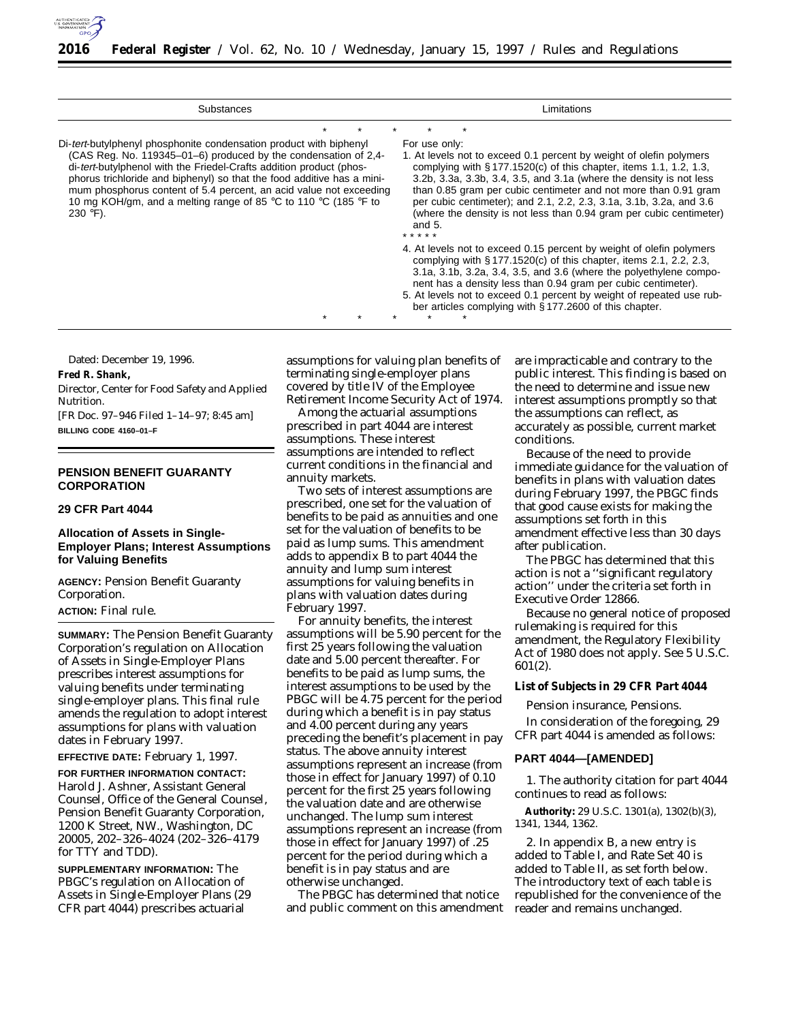

| Substances                                                                                                                                                                                                                                                                                                                                                                                                                                     | Limitations                                                                                                                                                                                                                                                                                                                                                                                                                                                       |  |  |  |  |  |  |  |  |
|------------------------------------------------------------------------------------------------------------------------------------------------------------------------------------------------------------------------------------------------------------------------------------------------------------------------------------------------------------------------------------------------------------------------------------------------|-------------------------------------------------------------------------------------------------------------------------------------------------------------------------------------------------------------------------------------------------------------------------------------------------------------------------------------------------------------------------------------------------------------------------------------------------------------------|--|--|--|--|--|--|--|--|
|                                                                                                                                                                                                                                                                                                                                                                                                                                                |                                                                                                                                                                                                                                                                                                                                                                                                                                                                   |  |  |  |  |  |  |  |  |
| Di-tert-butylphenyl phosphonite condensation product with biphenyl<br>(CAS Reg. No. 119345-01-6) produced by the condensation of 2,4-<br>di-tert-butylphenol with the Friedel-Crafts addition product (phos-<br>phorus trichloride and biphenyl) so that the food additive has a mini-<br>mum phosphorus content of 5.4 percent, an acid value not exceeding<br>10 mg KOH/gm, and a melting range of 85 °C to 110 °C (185 °F to<br>$230 °F$ ). | For use only:<br>1. At levels not to exceed 0.1 percent by weight of olefin polymers<br>complying with $\S 177.1520(c)$ of this chapter, items 1.1, 1.2, 1.3,<br>3.2b, 3.3a, 3.3b, 3.4, 3.5, and 3.1a (where the density is not less<br>than 0.85 gram per cubic centimeter and not more than 0.91 gram<br>per cubic centimeter); and 2.1, 2.2, 2.3, 3.1a, 3.1b, 3.2a, and 3.6<br>(where the density is not less than 0.94 gram per cubic centimeter)<br>and $5.$ |  |  |  |  |  |  |  |  |
|                                                                                                                                                                                                                                                                                                                                                                                                                                                | 4. At levels not to exceed 0.15 percent by weight of olefin polymers<br>complying with $\S 177.1520(c)$ of this chapter, items 2.1, 2.2, 2.3,<br>3.1a, 3.1b, 3.2a, 3.4, 3.5, and 3.6 (where the polyethylene compo-<br>nent has a density less than 0.94 gram per cubic centimeter).<br>5. At levels not to exceed 0.1 percent by weight of repeated use rub-<br>ber articles complying with § 177.2600 of this chapter.                                          |  |  |  |  |  |  |  |  |

Dated: December 19, 1996.

**Fred R. Shank,**

*Director, Center for Food Safety and Applied Nutrition.*

[FR Doc. 97–946 Filed 1–14–97; 8:45 am] **BILLING CODE 4160–01–F**

# **PENSION BENEFIT GUARANTY CORPORATION**

## **29 CFR Part 4044**

# **Allocation of Assets in Single-Employer Plans; Interest Assumptions for Valuing Benefits**

**AGENCY:** Pension Benefit Guaranty Corporation.

# **ACTION:** Final rule.

**SUMMARY:** The Pension Benefit Guaranty Corporation's regulation on Allocation of Assets in Single-Employer Plans prescribes interest assumptions for valuing benefits under terminating single-employer plans. This final rule amends the regulation to adopt interest assumptions for plans with valuation dates in February 1997.

**EFFECTIVE DATE:** February 1, 1997.

**FOR FURTHER INFORMATION CONTACT:** Harold J. Ashner, Assistant General Counsel, Office of the General Counsel, Pension Benefit Guaranty Corporation, 1200 K Street, NW., Washington, DC 20005, 202–326–4024 (202–326–4179 for TTY and TDD).

**SUPPLEMENTARY INFORMATION:** The PBGC's regulation on Allocation of Assets in Single-Employer Plans (29 CFR part 4044) prescribes actuarial

assumptions for valuing plan benefits of terminating single-employer plans covered by title IV of the Employee Retirement Income Security Act of 1974.

Among the actuarial assumptions prescribed in part 4044 are interest assumptions. These interest assumptions are intended to reflect current conditions in the financial and annuity markets.

Two sets of interest assumptions are prescribed, one set for the valuation of benefits to be paid as annuities and one set for the valuation of benefits to be paid as lump sums. This amendment adds to appendix B to part 4044 the annuity and lump sum interest assumptions for valuing benefits in plans with valuation dates during February 1997.

For annuity benefits, the interest assumptions will be 5.90 percent for the first 25 years following the valuation date and 5.00 percent thereafter. For benefits to be paid as lump sums, the interest assumptions to be used by the PBGC will be 4.75 percent for the period during which a benefit is in pay status and 4.00 percent during any years preceding the benefit's placement in pay status. The above annuity interest assumptions represent an increase (from those in effect for January 1997) of 0.10 percent for the first 25 years following the valuation date and are otherwise unchanged. The lump sum interest assumptions represent an increase (from those in effect for January 1997) of .25 percent for the period during which a benefit is in pay status and are otherwise unchanged.

The PBGC has determined that notice and public comment on this amendment

are impracticable and contrary to the public interest. This finding is based on the need to determine and issue new interest assumptions promptly so that the assumptions can reflect, as accurately as possible, current market conditions.

Because of the need to provide immediate guidance for the valuation of benefits in plans with valuation dates during February 1997, the PBGC finds that good cause exists for making the assumptions set forth in this amendment effective less than 30 days after publication.

The PBGC has determined that this action is not a ''significant regulatory action'' under the criteria set forth in Executive Order 12866.

Because no general notice of proposed rulemaking is required for this amendment, the Regulatory Flexibility Act of 1980 does not apply. See 5 U.S.C. 601(2).

**List of Subjects in 29 CFR Part 4044**

Pension insurance, Pensions.

In consideration of the foregoing, 29 CFR part 4044 is amended as follows:

## **PART 4044—[AMENDED]**

1. The authority citation for part 4044 continues to read as follows:

**Authority:** 29 U.S.C. 1301(a), 1302(b)(3), 1341, 1344, 1362.

2. In appendix B, a new entry is added to Table I, and Rate Set 40 is added to Table II, as set forth below. The introductory text of each table is republished for the convenience of the reader and remains unchanged.